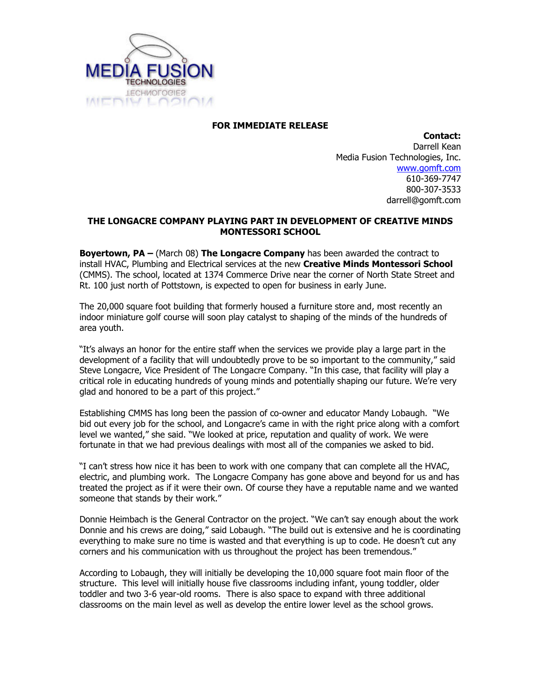

## FOR IMMEDIATE RELEASE

Contact: Darrell Kean Media Fusion Technologies, Inc. www.gomft.com 610-369-7747 800-307-3533 darrell@gomft.com

## THE LONGACRE COMPANY PLAYING PART IN DEVELOPMENT OF CREATIVE MINDS MONTESSORI SCHOOL

**Boyertown, PA** – (March 08) The Longacre Company has been awarded the contract to install HVAC, Plumbing and Electrical services at the new Creative Minds Montessori School (CMMS). The school, located at 1374 Commerce Drive near the corner of North State Street and Rt. 100 just north of Pottstown, is expected to open for business in early June.

The 20,000 square foot building that formerly housed a furniture store and, most recently an indoor miniature golf course will soon play catalyst to shaping of the minds of the hundreds of area youth.

"It's always an honor for the entire staff when the services we provide play a large part in the development of a facility that will undoubtedly prove to be so important to the community," said Steve Longacre, Vice President of The Longacre Company. "In this case, that facility will play a critical role in educating hundreds of young minds and potentially shaping our future. We're very glad and honored to be a part of this project."

Establishing CMMS has long been the passion of co-owner and educator Mandy Lobaugh. "We bid out every job for the school, and Longacre's came in with the right price along with a comfort level we wanted," she said. "We looked at price, reputation and quality of work. We were fortunate in that we had previous dealings with most all of the companies we asked to bid.

"I can't stress how nice it has been to work with one company that can complete all the HVAC, electric, and plumbing work. The Longacre Company has gone above and beyond for us and has treated the project as if it were their own. Of course they have a reputable name and we wanted someone that stands by their work."

Donnie Heimbach is the General Contractor on the project. "We can't say enough about the work Donnie and his crews are doing," said Lobaugh. "The build out is extensive and he is coordinating everything to make sure no time is wasted and that everything is up to code. He doesn't cut any corners and his communication with us throughout the project has been tremendous."

According to Lobaugh, they will initially be developing the 10,000 square foot main floor of the structure. This level will initially house five classrooms including infant, young toddler, older toddler and two 3-6 year-old rooms. There is also space to expand with three additional classrooms on the main level as well as develop the entire lower level as the school grows.